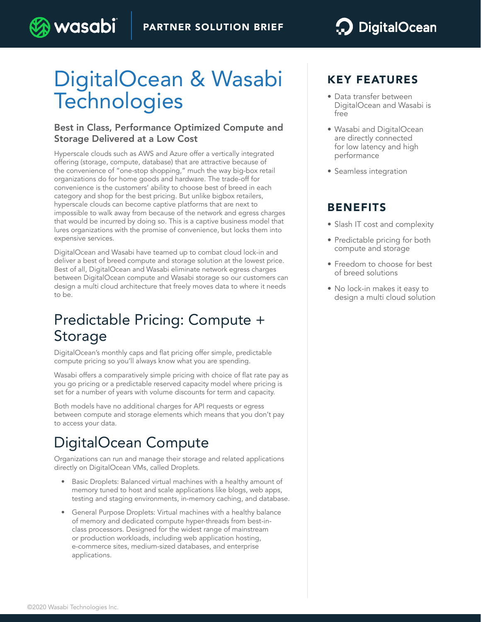

# DigitalOcean & Wasabi **Technologies**

wasabi

#### Best in Class, Performance Optimized Compute and Storage Delivered at a Low Cost

Hyperscale clouds such as AWS and Azure offer a vertically integrated offering (storage, compute, database) that are attractive because of the convenience of "one-stop shopping," much the way big-box retail organizations do for home goods and hardware. The trade-off for convenience is the customers' ability to choose best of breed in each category and shop for the best pricing. But unlike bigbox retailers, hyperscale clouds can become captive platforms that are next to impossible to walk away from because of the network and egress charges that would be incurred by doing so. This is a captive business model that lures organizations with the promise of convenience, but locks them into expensive services.

DigitalOcean and Wasabi have teamed up to combat cloud lock-in and deliver a best of breed compute and storage solution at the lowest price. Best of all, DigitalOcean and Wasabi eliminate network egress charges between DigitalOcean compute and Wasabi storage so our customers can design a multi cloud architecture that freely moves data to where it needs to be.

## Predictable Pricing: Compute + **Storage**

DigitalOcean's monthly caps and flat pricing offer simple, predictable compute pricing so you'll always know what you are spending.

Wasabi offers a comparatively simple pricing with choice of flat rate pay as you go pricing or a predictable reserved capacity model where pricing is set for a number of years with volume discounts for term and capacity.

Both models have no additional charges for API requests or egress between compute and storage elements which means that you don't pay to access your data.

# DigitalOcean Compute

Organizations can run and manage their storage and related applications directly on DigitalOcean VMs, called Droplets.

- Basic Droplets: Balanced virtual machines with a healthy amount of memory tuned to host and scale applications like blogs, web apps, testing and staging environments, in-memory caching, and database.
- General Purpose Droplets: Virtual machines with a healthy balance of memory and dedicated compute hyper-threads from best-inclass processors. Designed for the widest range of mainstream or production workloads, including web application hosting, e-commerce sites, medium-sized databases, and enterprise applications.

### KEY FEATURES

- Data transfer between DigitalOcean and Wasabi is free
- Wasabi and DigitalOcean are directly connected for low latency and high performance
- Seamless integration

### BENEFITS

- Slash IT cost and complexity
- Predictable pricing for both compute and storage
- Freedom to choose for best of breed solutions
- No lock-in makes it easy to design a multi cloud solution